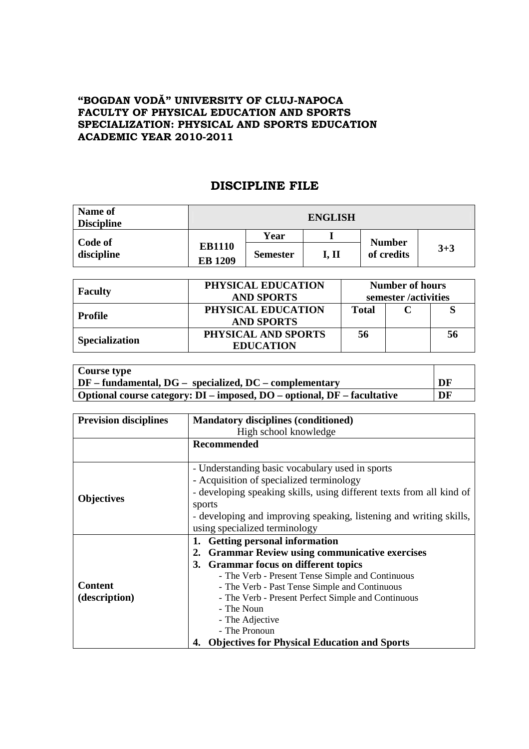## **"BOGDAN VODĂ" UNIVERSITY OF CLUJ-NAPOCA FACULTY OF PHYSICAL EDUCATION AND SPORTS SPECIALIZATION: PHYSICAL AND SPORTS EDUCATION ACADEMIC YEAR 2010-2011**

## **DISCIPLINE FILE**

| Name of<br><b>Discipline</b> | <b>ENGLISH</b>                  |                 |       |                             |         |
|------------------------------|---------------------------------|-----------------|-------|-----------------------------|---------|
| Code of<br>discipline        |                                 | Year            |       | <b>Number</b><br>of credits | $3 + 3$ |
|                              | <b>EB1110</b><br><b>EB 1209</b> | <b>Semester</b> | I, II |                             |         |

| <b>Faculty</b>        | PHYSICAL EDUCATION<br><b>AND SPORTS</b> | <b>Number of hours</b><br>semester /activities |  |    |
|-----------------------|-----------------------------------------|------------------------------------------------|--|----|
| Profile               | PHYSICAL EDUCATION<br><b>AND SPORTS</b> | <b>Total</b>                                   |  |    |
| <b>Specialization</b> | PHYSICAL AND SPORTS<br><b>EDUCATION</b> | 56                                             |  | 56 |

| Course type                                                                   |    |
|-------------------------------------------------------------------------------|----|
| $\vert$ DF – fundamental, DG – specialized, DC – complementary                | DF |
| Optional course category: $DI$ – imposed, $DO$ – optional, $DF$ – facultative | DF |

| <b>Prevision disciplines</b> | <b>Mandatory disciplines (conditioned)</b>                           |  |  |  |
|------------------------------|----------------------------------------------------------------------|--|--|--|
|                              | High school knowledge                                                |  |  |  |
|                              | Recommended                                                          |  |  |  |
|                              |                                                                      |  |  |  |
| <b>Objectives</b>            | - Understanding basic vocabulary used in sports                      |  |  |  |
|                              | - Acquisition of specialized terminology                             |  |  |  |
|                              | - developing speaking skills, using different texts from all kind of |  |  |  |
|                              | sports                                                               |  |  |  |
|                              | - developing and improving speaking, listening and writing skills,   |  |  |  |
|                              | using specialized terminology                                        |  |  |  |
|                              | 1. Getting personal information                                      |  |  |  |
|                              | <b>Grammar Review using communicative exercises</b><br>2.            |  |  |  |
|                              | <b>Grammar focus on different topics</b><br>3.                       |  |  |  |
|                              | - The Verb - Present Tense Simple and Continuous                     |  |  |  |
| <b>Content</b>               | - The Verb - Past Tense Simple and Continuous                        |  |  |  |
| (description)                | - The Verb - Present Perfect Simple and Continuous                   |  |  |  |
|                              | - The Noun                                                           |  |  |  |
|                              | - The Adjective                                                      |  |  |  |
|                              | - The Pronoun                                                        |  |  |  |
|                              | <b>Objectives for Physical Education and Sports</b>                  |  |  |  |